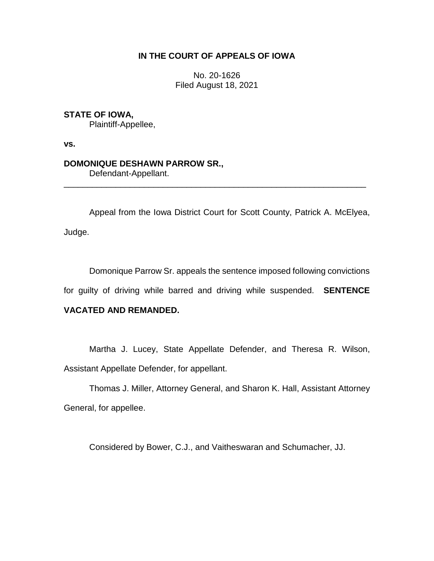# **IN THE COURT OF APPEALS OF IOWA**

No. 20-1626 Filed August 18, 2021

### **STATE OF IOWA,**

Plaintiff-Appellee,

**vs.**

#### **DOMONIQUE DESHAWN PARROW SR.,**

Defendant-Appellant.

Appeal from the Iowa District Court for Scott County, Patrick A. McElyea, Judge.

\_\_\_\_\_\_\_\_\_\_\_\_\_\_\_\_\_\_\_\_\_\_\_\_\_\_\_\_\_\_\_\_\_\_\_\_\_\_\_\_\_\_\_\_\_\_\_\_\_\_\_\_\_\_\_\_\_\_\_\_\_\_\_\_

Domonique Parrow Sr. appeals the sentence imposed following convictions

for guilty of driving while barred and driving while suspended. **SENTENCE** 

## **VACATED AND REMANDED.**

Martha J. Lucey, State Appellate Defender, and Theresa R. Wilson, Assistant Appellate Defender, for appellant.

Thomas J. Miller, Attorney General, and Sharon K. Hall, Assistant Attorney General, for appellee.

Considered by Bower, C.J., and Vaitheswaran and Schumacher, JJ.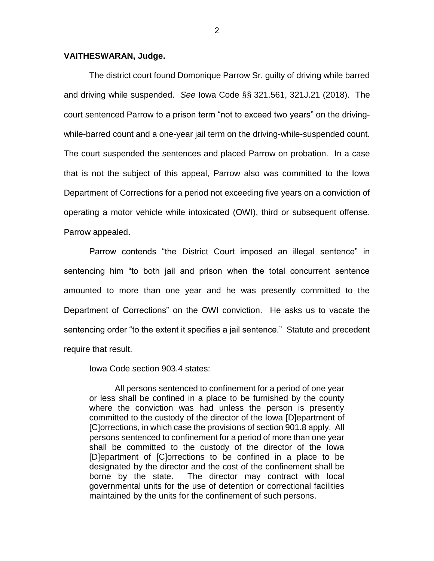#### **VAITHESWARAN, Judge.**

The district court found Domonique Parrow Sr. guilty of driving while barred and driving while suspended. *See* Iowa Code §§ 321.561, 321J.21 (2018). The court sentenced Parrow to a prison term "not to exceed two years" on the drivingwhile-barred count and a one-year jail term on the driving-while-suspended count. The court suspended the sentences and placed Parrow on probation. In a case that is not the subject of this appeal, Parrow also was committed to the Iowa Department of Corrections for a period not exceeding five years on a conviction of operating a motor vehicle while intoxicated (OWI), third or subsequent offense. Parrow appealed.

Parrow contends "the District Court imposed an illegal sentence" in sentencing him "to both jail and prison when the total concurrent sentence amounted to more than one year and he was presently committed to the Department of Corrections" on the OWI conviction. He asks us to vacate the sentencing order "to the extent it specifies a jail sentence." Statute and precedent require that result.

Iowa Code section 903.4 states:

All persons sentenced to confinement for a period of one year or less shall be confined in a place to be furnished by the county where the conviction was had unless the person is presently committed to the custody of the director of the Iowa [D]epartment of [C]orrections, in which case the provisions of section 901.8 apply. All persons sentenced to confinement for a period of more than one year shall be committed to the custody of the director of the Iowa [D]epartment of [C]orrections to be confined in a place to be designated by the director and the cost of the confinement shall be borne by the state. The director may contract with local governmental units for the use of detention or correctional facilities maintained by the units for the confinement of such persons.